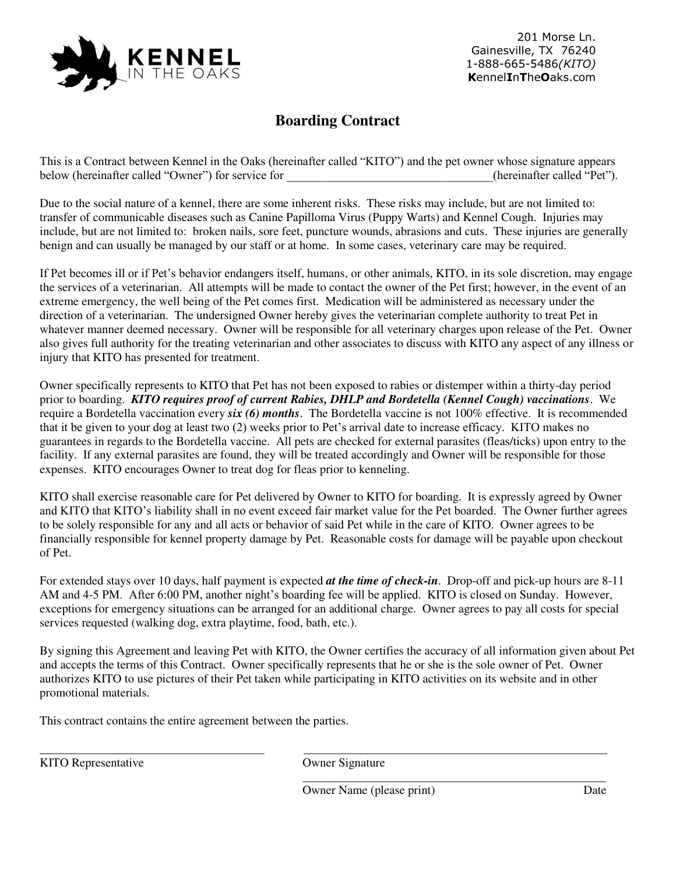

201 Morse Ln. Gainesville, TX 76240 1-888-665-5486*(KITO)* **K**ennel**I**n**T**he**O**aks.com

## **Boarding Contract**

This is a Contract between Kennel in the Oaks (hereinafter called "KITO") and the pet owner whose signature appears below (hereinafter called "Owner") for service for  $(herenafter called "Pet").$ 

Due to the social nature of a kennel, there are some inherent risks. These risks may include, but are not limited to: transfer of communicable diseases such as Canine Papilloma Virus (Puppy Warts) and Kennel Cough. Injuries may include, but are not limited to: broken nails, sore feet, puncture wounds, abrasions and cuts. These injuries are generally benign and can usually be managed by our staff or at home. In some cases, veterinary care may be required.

If Pet becomes ill or if Pet's behavior endangers itself, humans, or other animals, KITO, in its sole discretion, may engage the services of a veterinarian. All attempts will be made to contact the owner of the Pet first; however, in the event of an extreme emergency, the well being of the Pet comes first. Medication will be administered as necessary under the direction of a veterinarian. The undersigned Owner hereby gives the veterinarian complete authority to treat Pet in whatever manner deemed necessary. Owner will be responsible for all veterinary charges upon release of the Pet. Owner also gives full authority for the treating veterinarian and other associates to discuss with KITO any aspect of any illness or injury that KITO has presented for treatment.

Owner specifically represents to KITO that Pet has not been exposed to rabies or distemper within a thirty-day period prior to boarding. *KITO requires proof of current Rabies, DHLP and Bordetella (Kennel Cough) vaccinations*. We require a Bordetella vaccination every *six (6) months*. The Bordetella vaccine is not 100% effective. It is recommended that it be given to your dog at least two (2) weeks prior to Pet's arrival date to increase efficacy. KITO makes no guarantees in regards to the Bordetella vaccine. All pets are checked for external parasites (fleas/ticks) upon entry to the facility. If any external parasites are found, they will be treated accordingly and Owner will be responsible for those expenses. KITO encourages Owner to treat dog for fleas prior to kenneling.

KITO shall exercise reasonable care for Pet delivered by Owner to KITO for boarding. It is expressly agreed by Owner and KITO that KITO's liability shall in no event exceed fair market value for the Pet boarded. The Owner further agrees to be solely responsible for any and all acts or behavior of said Pet while in the care of KITO. Owner agrees to be financially responsible for kennel property damage by Pet. Reasonable costs for damage will be payable upon checkout of Pet.

For extended stays over 10 days, half payment is expected *at the time of check-in*. Drop-off and pick-up hours are 8-11 AM and 4-5 PM. After 6:00 PM, another night's boarding fee will be applied. KITO is closed on Sunday. However, exceptions for emergency situations can be arranged for an additional charge. Owner agrees to pay all costs for special services requested (walking dog, extra playtime, food, bath, etc.).

By signing this Agreement and leaving Pet with KITO, the Owner certifies the accuracy of all information given about Pet and accepts the terms of this Contract. Owner specifically represents that he or she is the sole owner of Pet. Owner authorizes KITO to use pictures of their Pet taken while participating in KITO activities on its website and in other promotional materials.

This contract contains the entire agreement between the parties.

KITO Representative Owner Signature

\_\_\_\_\_\_\_\_\_\_\_\_\_\_\_\_\_\_\_\_\_\_\_\_\_\_\_\_\_\_\_\_\_\_\_\_\_ \_\_\_\_\_\_\_\_\_\_\_\_\_\_\_\_\_\_\_\_\_\_\_\_\_\_\_\_\_\_\_\_\_\_\_\_\_\_\_\_\_\_\_\_\_\_\_\_\_\_

 $\frac{1}{2}$  ,  $\frac{1}{2}$  ,  $\frac{1}{2}$  ,  $\frac{1}{2}$  ,  $\frac{1}{2}$  ,  $\frac{1}{2}$  ,  $\frac{1}{2}$  ,  $\frac{1}{2}$  ,  $\frac{1}{2}$  ,  $\frac{1}{2}$  ,  $\frac{1}{2}$  ,  $\frac{1}{2}$  ,  $\frac{1}{2}$  ,  $\frac{1}{2}$  ,  $\frac{1}{2}$  ,  $\frac{1}{2}$  ,  $\frac{1}{2}$  ,  $\frac{1}{2}$  ,  $\frac{1$